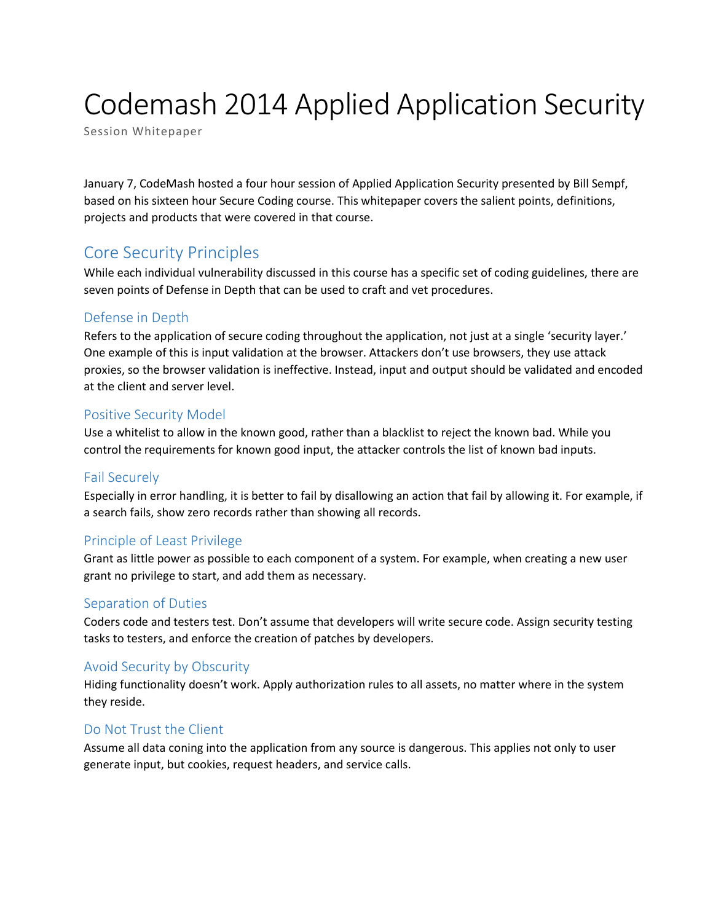# Codemash 2014 Applied Application Security

Session Whitepaper

January 7, CodeMash hosted a four hour session of Applied Application Security presented by Bill Sempf, based on his sixteen hour Secure Coding course. This whitepaper covers the salient points, definitions, projects and products that were covered in that course.

# Core Security Principles

While each individual vulnerability discussed in this course has a specific set of coding guidelines, there are seven points of Defense in Depth that can be used to craft and vet procedures.

# Defense in Depth

Refers to the application of secure coding throughout the application, not just at a single 'security layer.' One example of this is input validation at the browser. Attackers don't use browsers, they use attack proxies, so the browser validation is ineffective. Instead, input and output should be validated and encoded at the client and server level.

#### Positive Security Model

Use a whitelist to allow in the known good, rather than a blacklist to reject the known bad. While you control the requirements for known good input, the attacker controls the list of known bad inputs.

# Fail Securely

Especially in error handling, it is better to fail by disallowing an action that fail by allowing it. For example, if a search fails, show zero records rather than showing all records.

# Principle of Least Privilege

Grant as little power as possible to each component of a system. For example, when creating a new user grant no privilege to start, and add them as necessary.

# Separation of Duties

Coders code and testers test. Don't assume that developers will write secure code. Assign security testing tasks to testers, and enforce the creation of patches by developers.

# Avoid Security by Obscurity

Hiding functionality doesn't work. Apply authorization rules to all assets, no matter where in the system they reside.

# Do Not Trust the Client

Assume all data coning into the application from any source is dangerous. This applies not only to user generate input, but cookies, request headers, and service calls.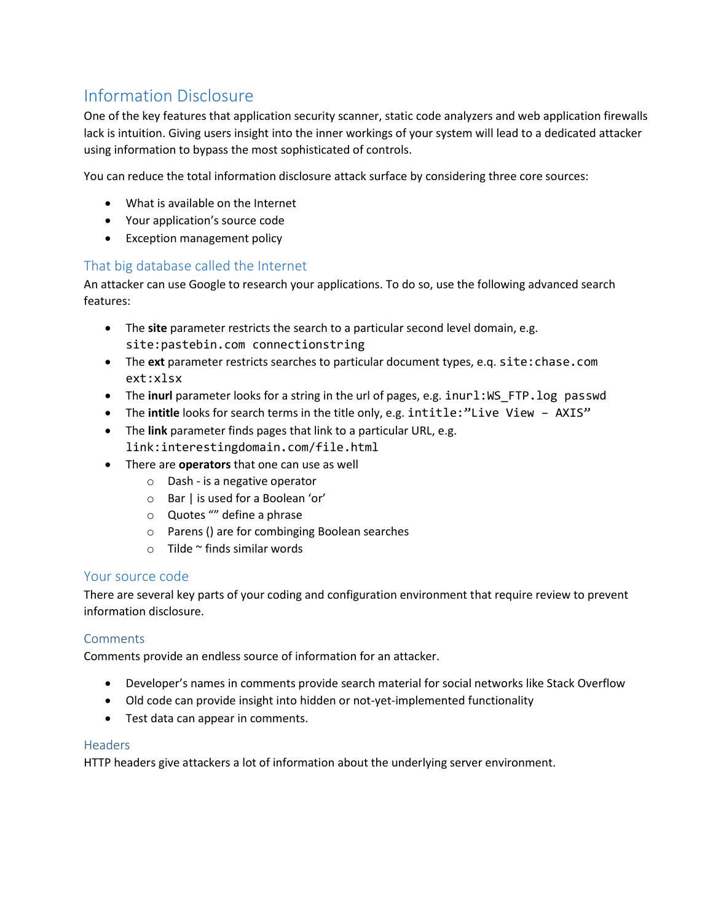# Information Disclosure

One of the key features that application security scanner, static code analyzers and web application firewalls lack is intuition. Giving users insight into the inner workings of your system will lead to a dedicated attacker using information to bypass the most sophisticated of controls.

You can reduce the total information disclosure attack surface by considering three core sources:

- What is available on the Internet
- Your application's source code
- Exception management policy

# That big database called the Internet

An attacker can use Google to research your applications. To do so, use the following advanced search features:

- The **site** parameter restricts the search to a particular second level domain, e.g. site:pastebin.com connectionstring
- The **ext** parameter restricts searches to particular document types, e.q. site:chase.com ext:xlsx
- The **inurl** parameter looks for a string in the url of pages, e.g. inurl:WS\_FTP.log passwd
- The **intitle** looks for search terms in the title only, e.g. intitle:"Live View AXIS"
- The **link** parameter finds pages that link to a particular URL, e.g. link:interestingdomain.com/file.html
- There are **operators** that one can use as well
	- o Dash is a negative operator
	- o Bar | is used for a Boolean 'or'
	- o Quotes "" define a phrase
	- o Parens () are for combinging Boolean searches
	- $\circ$  Tilde  $\sim$  finds similar words

# Your source code

There are several key parts of your coding and configuration environment that require review to prevent information disclosure.

#### **Comments**

Comments provide an endless source of information for an attacker.

- Developer's names in comments provide search material for social networks like Stack Overflow
- Old code can provide insight into hidden or not-yet-implemented functionality
- Test data can appear in comments.

#### Headers

HTTP headers give attackers a lot of information about the underlying server environment.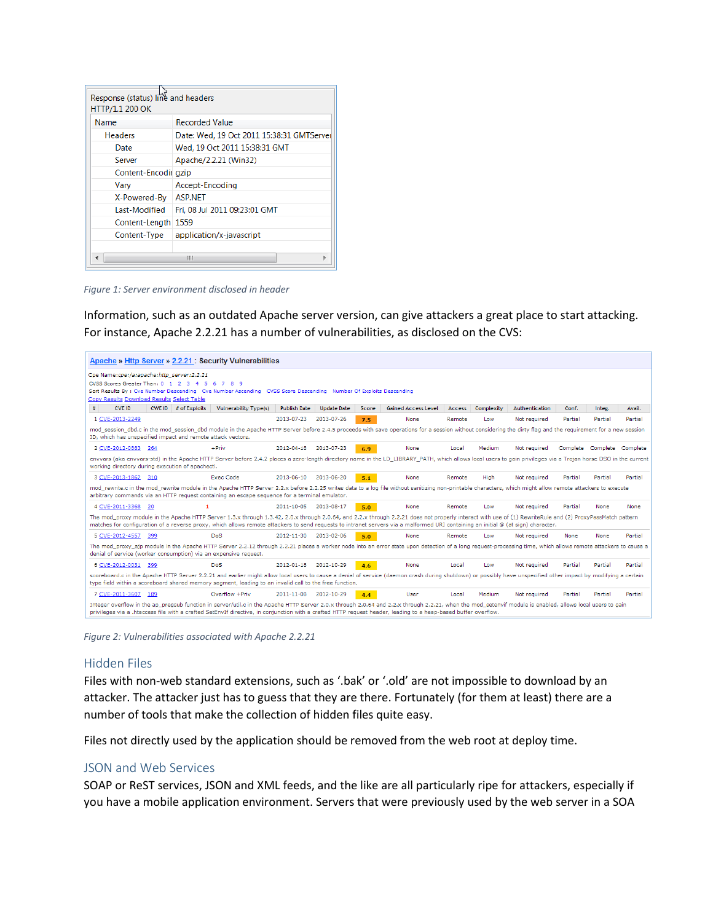| Response (status) line and headers<br>HTTP/1.1 200 OK |                                           |
|-------------------------------------------------------|-------------------------------------------|
| Name                                                  | <b>Recorded Value</b>                     |
| <b>Headers</b>                                        | Date: Wed, 19 Oct 2011 15:38:31 GMTServer |
| Date                                                  | Wed, 19 Oct 2011 15:38:31 GMT             |
| Server                                                | Apache/2.2.21 (Win32)                     |
| Content-Encodir gzip                                  |                                           |
| Vary                                                  | Accept-Encoding                           |
| X-Powered-By                                          | <b>ASP.NET</b>                            |
| Last-Modified                                         | Fri, 08 Jul 2011 09:23:01 GMT             |
| Content-Length 1559                                   |                                           |
| Content-Type                                          | application/x-javascript                  |
|                                                       |                                           |
| ш                                                     |                                           |

*Figure 1: Server environment disclosed in header*

Information, such as an outdated Apache server version, can give attackers a great place to start attacking. For instance, Apache 2.2.21 has a number of vulnerabilities, as disclosed on the CVS:



*Figure 2: Vulnerabilities associated with Apache 2.2.21*

#### Hidden Files

Files with non-web standard extensions, such as '.bak' or '.old' are not impossible to download by an attacker. The attacker just has to guess that they are there. Fortunately (for them at least) there are a number of tools that make the collection of hidden files quite easy.

Files not directly used by the application should be removed from the web root at deploy time.

#### JSON and Web Services

SOAP or ReST services, JSON and XML feeds, and the like are all particularly ripe for attackers, especially if you have a mobile application environment. Servers that were previously used by the web server in a SOA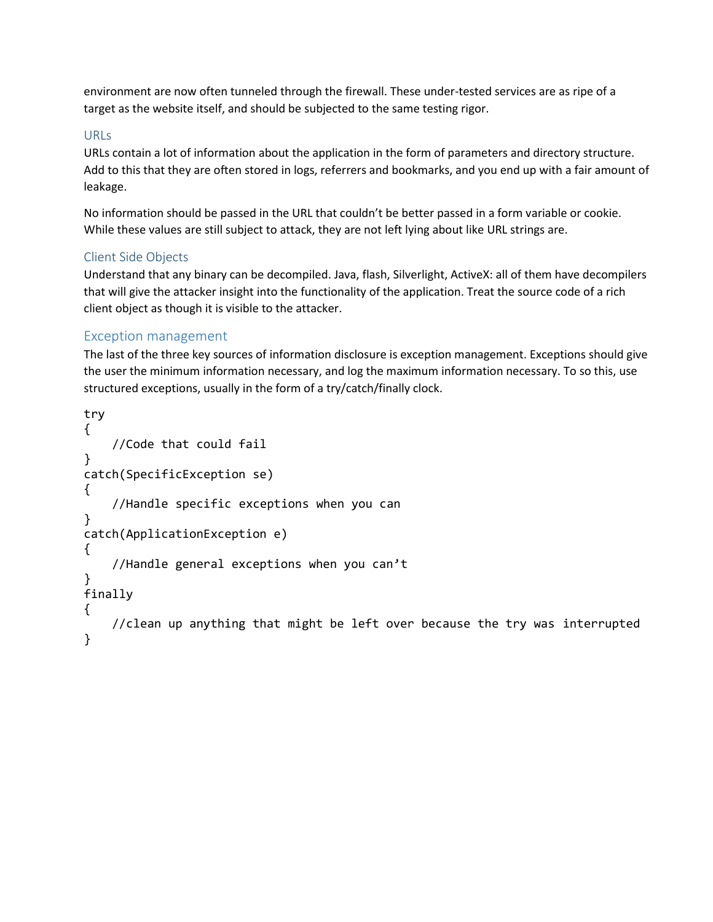environment are now often tunneled through the firewall. These under-tested services are as ripe of a target as the website itself, and should be subjected to the same testing rigor.

#### URLs

URLs contain a lot of information about the application in the form of parameters and directory structure. Add to this that they are often stored in logs, referrers and bookmarks, and you end up with a fair amount of leakage.

No information should be passed in the URL that couldn't be better passed in a form variable or cookie. While these values are still subject to attack, they are not left lying about like URL strings are.

#### Client Side Objects

Understand that any binary can be decompiled. Java, flash, Silverlight, ActiveX: all of them have decompilers that will give the attacker insight into the functionality of the application. Treat the source code of a rich client object as though it is visible to the attacker.

#### Exception management

The last of the three key sources of information disclosure is exception management. Exceptions should give the user the minimum information necessary, and log the maximum information necessary. To so this, use structured exceptions, usually in the form of a try/catch/finally clock.

```
try
{
     //Code that could fail
}
catch(SpecificException se)
{
     //Handle specific exceptions when you can
}
catch(ApplicationException e)
{
     //Handle general exceptions when you can't
}
finally
{
     //clean up anything that might be left over because the try was interrupted
}
```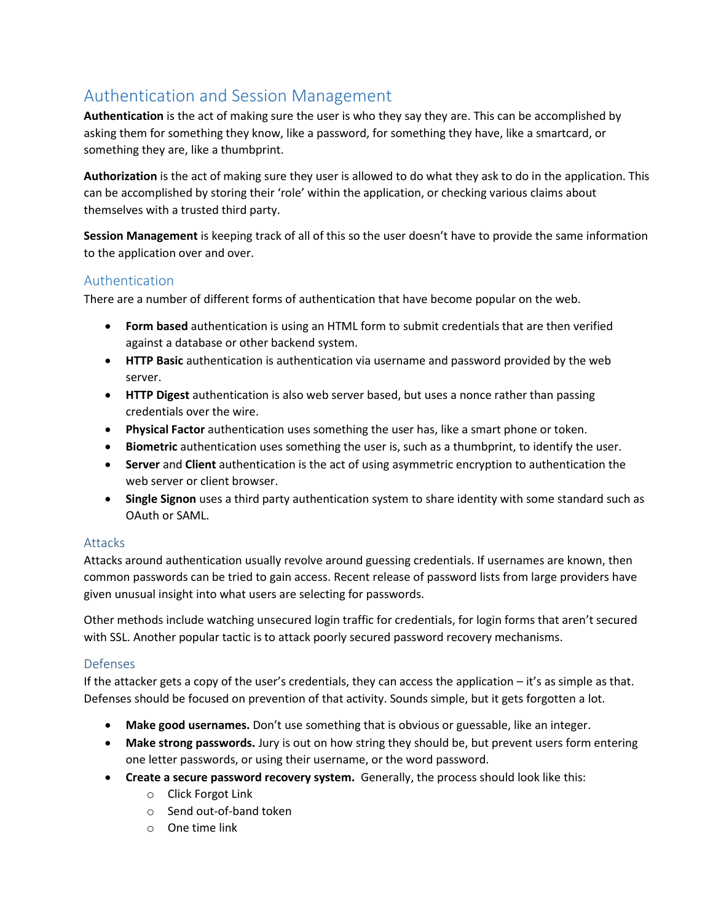# Authentication and Session Management

**Authentication** is the act of making sure the user is who they say they are. This can be accomplished by asking them for something they know, like a password, for something they have, like a smartcard, or something they are, like a thumbprint.

**Authorization** is the act of making sure they user is allowed to do what they ask to do in the application. This can be accomplished by storing their 'role' within the application, or checking various claims about themselves with a trusted third party.

**Session Management** is keeping track of all of this so the user doesn't have to provide the same information to the application over and over.

# Authentication

There are a number of different forms of authentication that have become popular on the web.

- **Form based** authentication is using an HTML form to submit credentials that are then verified against a database or other backend system.
- **HTTP Basic** authentication is authentication via username and password provided by the web server.
- **HTTP Digest** authentication is also web server based, but uses a nonce rather than passing credentials over the wire.
- **Physical Factor** authentication uses something the user has, like a smart phone or token.
- **Biometric** authentication uses something the user is, such as a thumbprint, to identify the user.
- **Server** and **Client** authentication is the act of using asymmetric encryption to authentication the web server or client browser.
- **Single Signon** uses a third party authentication system to share identity with some standard such as OAuth or SAML.

#### Attacks

Attacks around authentication usually revolve around guessing credentials. If usernames are known, then common passwords can be tried to gain access. Recent release of password lists from large providers have given unusual insight into what users are selecting for passwords.

Other methods include watching unsecured login traffic for credentials, for login forms that aren't secured with SSL. Another popular tactic is to attack poorly secured password recovery mechanisms.

#### Defenses

If the attacker gets a copy of the user's credentials, they can access the application – it's as simple as that. Defenses should be focused on prevention of that activity. Sounds simple, but it gets forgotten a lot.

- **Make good usernames.** Don't use something that is obvious or guessable, like an integer.
- **Make strong passwords.** Jury is out on how string they should be, but prevent users form entering one letter passwords, or using their username, or the word password.
- **Create a secure password recovery system.** Generally, the process should look like this:
	- o Click Forgot Link
	- o Send out-of-band token
	- o One time link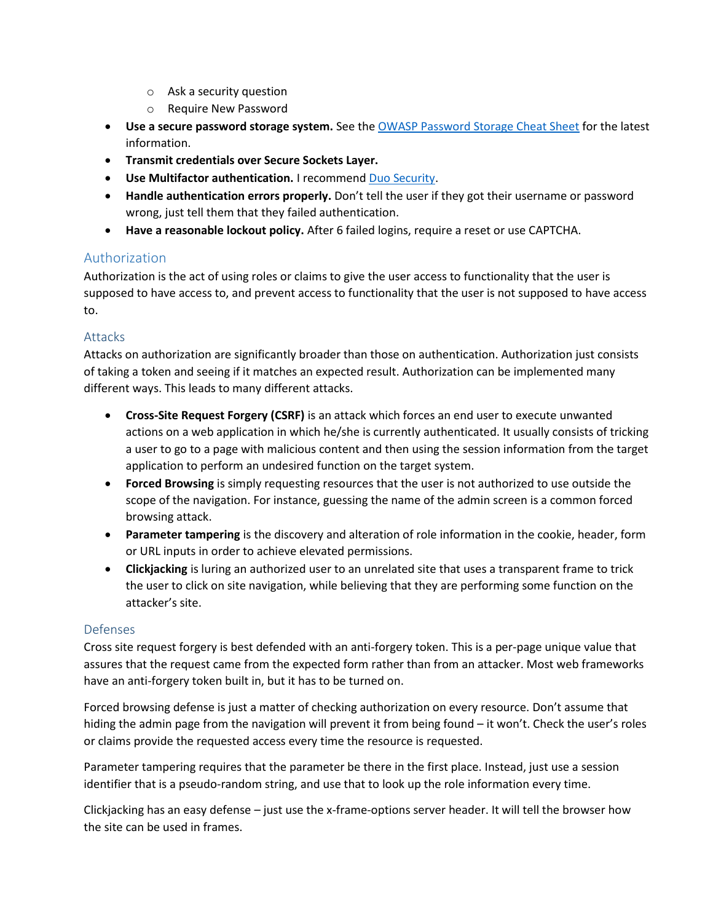- o Ask a security question
- o Require New Password
- **Use a secure password storage system.** See th[e OWASP Password Storage](https://www.owasp.org/index.php/Password_Storage_Cheat_Sheet) Cheat Sheet for the latest information.
- **Transmit credentials over Secure Sockets Layer.**
- **Use Multifactor authentication.** I recommend [Duo Security.](https://www.duosecurity.com/)
- **Handle authentication errors properly.** Don't tell the user if they got their username or password wrong, just tell them that they failed authentication.
- **Have a reasonable lockout policy.** After 6 failed logins, require a reset or use CAPTCHA.

# Authorization

Authorization is the act of using roles or claims to give the user access to functionality that the user is supposed to have access to, and prevent access to functionality that the user is not supposed to have access to.

#### Attacks

Attacks on authorization are significantly broader than those on authentication. Authorization just consists of taking a token and seeing if it matches an expected result. Authorization can be implemented many different ways. This leads to many different attacks.

- **Cross-Site Request Forgery (CSRF)** is an attack which forces an end user to execute unwanted actions on a web application in which he/she is currently authenticated. It usually consists of tricking a user to go to a page with malicious content and then using the session information from the target application to perform an undesired function on the target system.
- **Forced Browsing** is simply requesting resources that the user is not authorized to use outside the scope of the navigation. For instance, guessing the name of the admin screen is a common forced browsing attack.
- **Parameter tampering** is the discovery and alteration of role information in the cookie, header, form or URL inputs in order to achieve elevated permissions.
- **Clickjacking** is luring an authorized user to an unrelated site that uses a transparent frame to trick the user to click on site navigation, while believing that they are performing some function on the attacker's site.

# Defenses

Cross site request forgery is best defended with an anti-forgery token. This is a per-page unique value that assures that the request came from the expected form rather than from an attacker. Most web frameworks have an anti-forgery token built in, but it has to be turned on.

Forced browsing defense is just a matter of checking authorization on every resource. Don't assume that hiding the admin page from the navigation will prevent it from being found – it won't. Check the user's roles or claims provide the requested access every time the resource is requested.

Parameter tampering requires that the parameter be there in the first place. Instead, just use a session identifier that is a pseudo-random string, and use that to look up the role information every time.

Clickjacking has an easy defense – just use the x-frame-options server header. It will tell the browser how the site can be used in frames.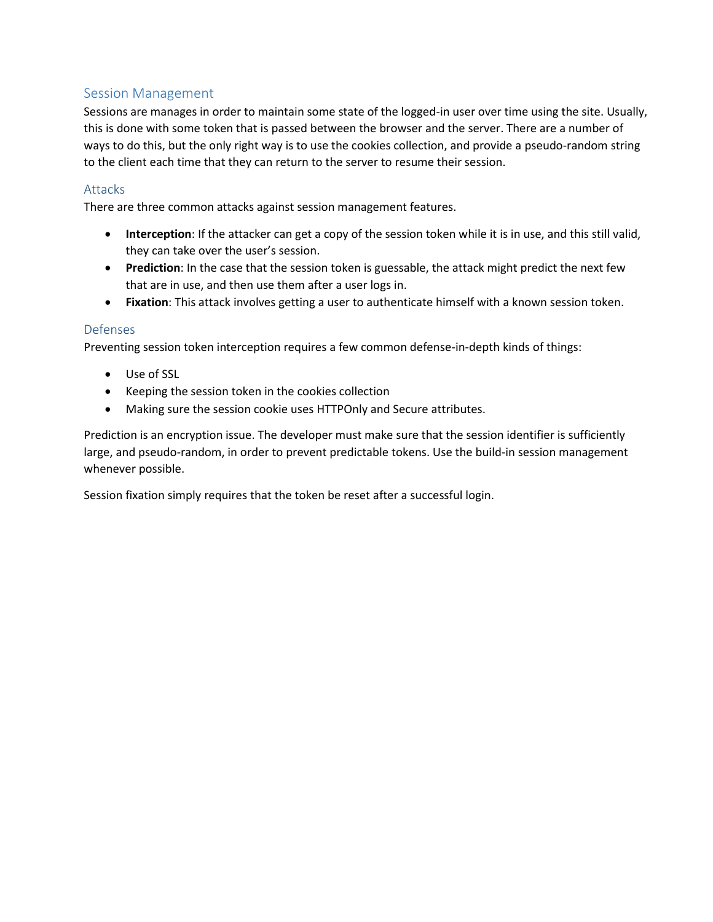# Session Management

Sessions are manages in order to maintain some state of the logged-in user over time using the site. Usually, this is done with some token that is passed between the browser and the server. There are a number of ways to do this, but the only right way is to use the cookies collection, and provide a pseudo-random string to the client each time that they can return to the server to resume their session.

#### **Attacks**

There are three common attacks against session management features.

- **Interception**: If the attacker can get a copy of the session token while it is in use, and this still valid, they can take over the user's session.
- **Prediction**: In the case that the session token is guessable, the attack might predict the next few that are in use, and then use them after a user logs in.
- **Fixation**: This attack involves getting a user to authenticate himself with a known session token.

#### Defenses

Preventing session token interception requires a few common defense-in-depth kinds of things:

- Use of SSL
- Keeping the session token in the cookies collection
- Making sure the session cookie uses HTTPOnly and Secure attributes.

Prediction is an encryption issue. The developer must make sure that the session identifier is sufficiently large, and pseudo-random, in order to prevent predictable tokens. Use the build-in session management whenever possible.

Session fixation simply requires that the token be reset after a successful login.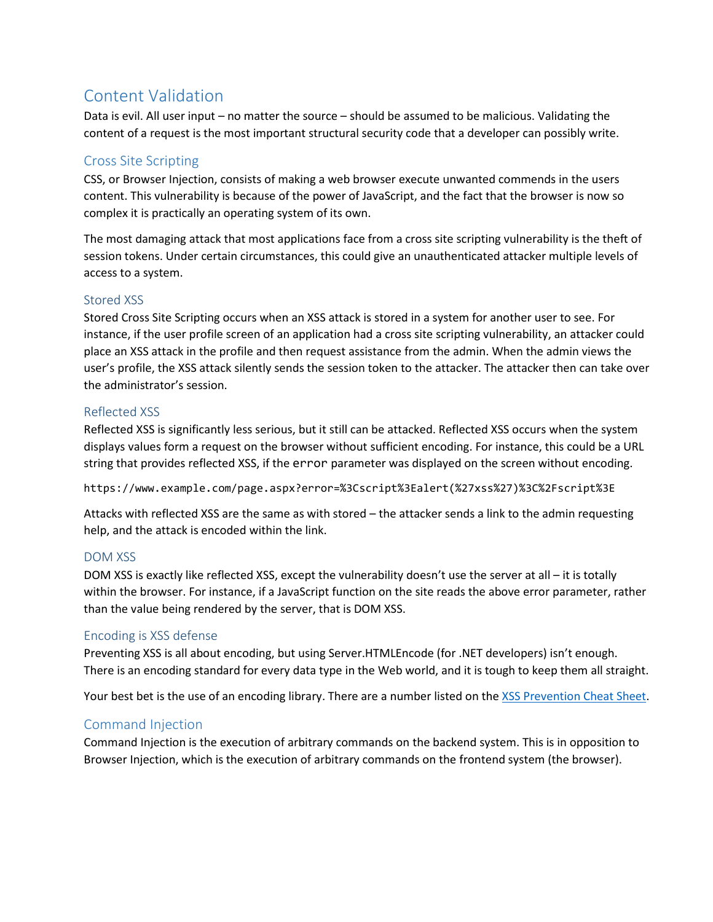# Content Validation

Data is evil. All user input – no matter the source – should be assumed to be malicious. Validating the content of a request is the most important structural security code that a developer can possibly write.

# Cross Site Scripting

CSS, or Browser Injection, consists of making a web browser execute unwanted commends in the users content. This vulnerability is because of the power of JavaScript, and the fact that the browser is now so complex it is practically an operating system of its own.

The most damaging attack that most applications face from a cross site scripting vulnerability is the theft of session tokens. Under certain circumstances, this could give an unauthenticated attacker multiple levels of access to a system.

#### Stored XSS

Stored Cross Site Scripting occurs when an XSS attack is stored in a system for another user to see. For instance, if the user profile screen of an application had a cross site scripting vulnerability, an attacker could place an XSS attack in the profile and then request assistance from the admin. When the admin views the user's profile, the XSS attack silently sends the session token to the attacker. The attacker then can take over the administrator's session.

#### Reflected XSS

Reflected XSS is significantly less serious, but it still can be attacked. Reflected XSS occurs when the system displays values form a request on the browser without sufficient encoding. For instance, this could be a URL string that provides reflected XSS, if the error parameter was displayed on the screen without encoding.

https://www.example.com/page.aspx?error=%3Cscript%3Ealert(%27xss%27)%3C%2Fscript%3E

Attacks with reflected XSS are the same as with stored – the attacker sends a link to the admin requesting help, and the attack is encoded within the link.

# DOM XSS

DOM XSS is exactly like reflected XSS, except the vulnerability doesn't use the server at all – it is totally within the browser. For instance, if a JavaScript function on the site reads the above error parameter, rather than the value being rendered by the server, that is DOM XSS.

#### Encoding is XSS defense

Preventing XSS is all about encoding, but using Server.HTMLEncode (for .NET developers) isn't enough. There is an encoding standard for every data type in the Web world, and it is tough to keep them all straight.

Your best bet is the use of an encoding library. There are a number listed on the XSS [Prevention Cheat Sheet.](https://www.owasp.org/index.php/XSS_(Cross_Site_Scripting)_Prevention_Cheat_Sheet)

# Command Injection

Command Injection is the execution of arbitrary commands on the backend system. This is in opposition to Browser Injection, which is the execution of arbitrary commands on the frontend system (the browser).